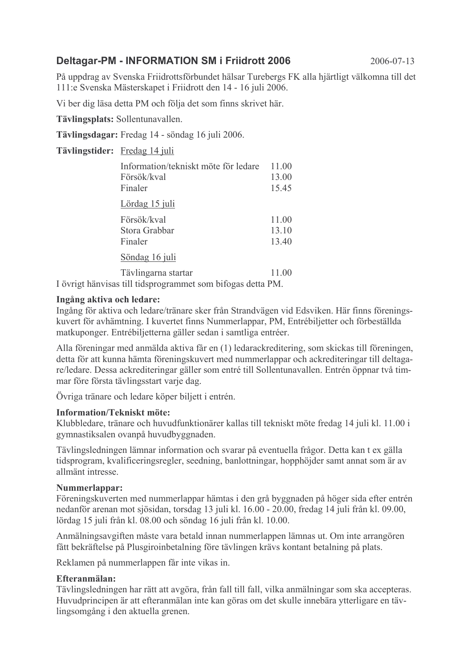# **Deltagar-PM - INFORMATION SM i Friidrott 2006**

2006-07-13

På uppdrag av Svenska Friidrottsförbundet hälsar Turebergs FK alla hjärtligt välkomna till det 111:e Svenska Mästerskapet i Friidrott den 14 - 16 juli 2006.

Vi ber dig läsa detta PM och följa det som finns skrivet här.

Tävlingsplats: Sollentunavallen.

Tävlingsdagar: Fredag 14 - söndag 16 juli 2006.

Tävlingstider: Fredag 14 juli

| Information/tekniskt möte för ledare<br>Försök/kval<br>Finaler | 11.00<br>13.00<br>15.45 |
|----------------------------------------------------------------|-------------------------|
| <u>Lördag 15 juli</u>                                          |                         |
| Försök/kval<br>Stora Grabbar<br>Finaler                        | 11.00<br>13.10<br>13.40 |
| Söndag 16 juli                                                 |                         |
| Tävlingarna startar                                            | 11.00                   |

I övrigt hänvisas till tidsprogrammet som bifogas detta PM.

#### Ingång aktiva och ledare:

Ingång för aktiva och ledare/tränare sker från Strandvägen vid Edsviken. Här finns föreningskuvert för avhämtning. I kuvertet finns Nummerlappar, PM, Entrébiljetter och förbeställda matkuponger. Entrébiljetterna gäller sedan i samtliga entréer.

Alla föreningar med anmälda aktiva får en (1) ledarackreditering, som skickas till föreningen, detta för att kunna hämta föreningskuvert med nummerlappar och ackrediteringar till deltagare/ledare. Dessa ackrediteringar gäller som entré till Sollentunavallen. Entrén öppnar två timmar före första tävlingsstart varje dag.

Övriga tränare och ledare köper biljett i entrén.

## **Information/Tekniskt möte:**

Klubbledare, tränare och huvudfunktionärer kallas till tekniskt möte fredag 14 juli kl. 11.00 i gymnastiksalen ovanpå huvudbyggnaden.

Tävlingsledningen lämnar information och svarar på eventuella frågor. Detta kan t ex gälla tidsprogram, kvalificeringsregler, seedning, banlottningar, hopphöjder samt annat som är av allmänt intresse.

## Nummerlappar:

Föreningskuverten med nummerlappar hämtas i den grå byggnaden på höger sida efter entrén nedanför arenan mot sjösidan, torsdag 13 juli kl. 16.00 - 20.00, fredag 14 juli från kl. 09.00, lördag 15 juli från kl. 08.00 och söndag 16 juli från kl. 10.00.

Anmälningsavgiften måste vara betald innan nummerlappen lämnas ut. Om inte arrangören fått bekräftelse på Plusgiroinbetalning före tävlingen krävs kontant betalning på plats.

Reklamen på nummerlappen får inte vikas in.

## Efteranmälan:

Tävlingsledningen har rätt att avgöra, från fall till fall, vilka anmälningar som ska accepteras. Huvudprincipen är att efteranmälan inte kan göras om det skulle innebära ytterligare en tävlingsomgång i den aktuella grenen.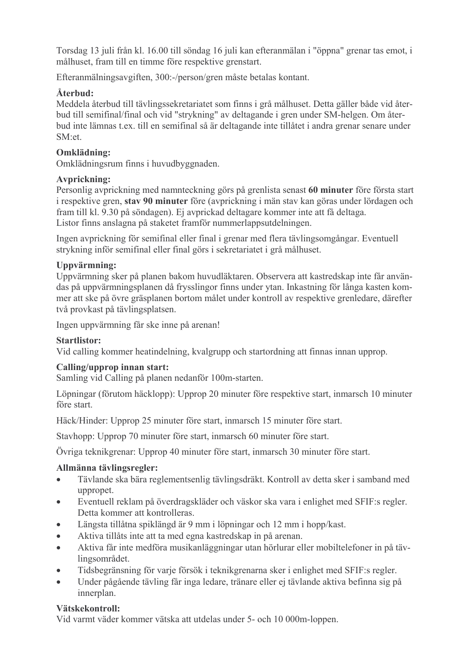Torsdag 13 juli från kl. 16.00 till söndag 16 juli kan efteranmälan i "öppna" grenar tas emot. i målhuset, fram till en timme före respektive grenstart.

Efteranmälningsavgiften, 300:-/person/gren måste betalas kontant.

# Återbud:

Meddela återbud till tävlingssekretariatet som finns i grå målhuset. Detta gäller både vid återbud till semifinal/final och vid "strykning" av deltagande i gren under SM-helgen. Om återbud inte lämnas t.ex. till en semifinal så är deltagande inte tillåtet i andra grenar senare under  $SM<sub>cf</sub>$ 

# Omklädning:

Omklädningsrum finns i huvudbyggnaden.

# Avprickning:

Personlig avprickning med namnteckning görs på grenlista senast 60 minuter före första start i respektive gren, stav 90 minuter före (avprickning i män stav kan göras under lördagen och fram till kl. 9.30 på söndagen). Ej avprickad deltagare kommer inte att få deltaga. Listor finns anslagna på staketet framför nummerlappsutdelningen.

Ingen avprickning för semifinal eller final i grenar med flera tävlingsomgångar. Eventuell strykning inför semifinal eller final görs i sekretariatet i grå målhuset.

# Uppvärmning:

Uppvärmning sker på planen bakom huvudläktaren. Observera att kastredskap inte får användas på uppvärmningsplanen då frysslingor finns under vtan. Inkastning för långa kasten kommer att ske på övre gräsplanen bortom målet under kontroll av respektive grenledare, därefter två provkast på tävlingsplatsen.

Ingen uppvärmning får ske inne på arenan!

# **Startlistor:**

Vid calling kommer heatindelning, kvalgrupp och startordning att finnas innan upprop.

# Calling/upprop innan start:

Samling vid Calling på planen nedanför 100m-starten.

Löpningar (förutom häcklopp): Upprop 20 minuter före respektive start, inmarsch 10 minuter före start

Häck/Hinder: Upprop 25 minuter före start, inmarsch 15 minuter före start.

Stavhopp: Upprop 70 minuter före start, inmarsch 60 minuter före start.

Övriga teknikgrenar: Upprop 40 minuter före start, inmarsch 30 minuter före start.

# Allmänna tävlingsregler:

- Tävlande ska bära reglementsenlig tävlingsdräkt. Kontroll av detta sker i samband med  $\bullet$ uppropet.
- Eventuell reklam på överdragskläder och väskor ska vara i enlighet med SFIF:s regler.  $\bullet$ Detta kommer att kontrolleras.
- Längsta tillåtna spiklängd är 9 mm i löpningar och 12 mm i hopp/kast.  $\bullet$
- Aktiva tillåts inte att ta med egna kastredskap in på arenan.  $\bullet$
- Aktiva får inte medföra musikanläggningar utan hörlurar eller mobiltelefoner in på täv- $\bullet$ lingsområdet.
- Tidsbegränsning för varie försök i teknikgrenarna sker i enlighet med SFIF:s regler.  $\bullet$
- Under pågående täyling får inga ledare, tränare eller ej täylande aktiva befinna sig på  $\blacksquare$ innerplan.

# Vätskekontroll:

Vid varmt väder kommer vätska att utdelas under 5- och 10 000m-loppen.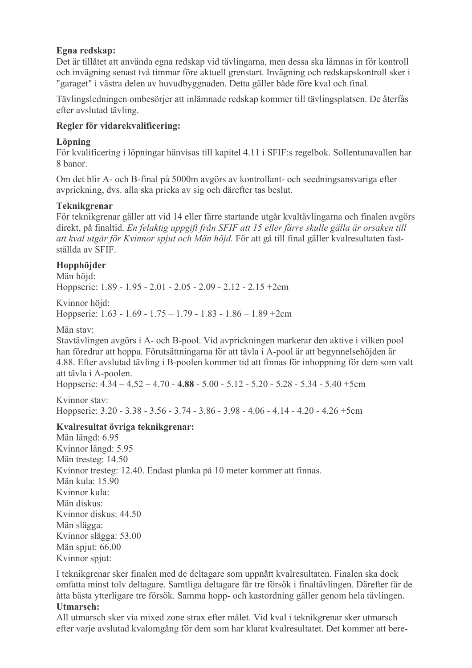## Egna redskap:

Det är tillåtet att använda egna redskap vid tävlingarna, men dessa ska lämnas in för kontroll och invägning senast två timmar före aktuell grenstart. Invägning och redskapskontroll sker i "garaget" i västra delen av huvudbyggnaden. Detta gäller både före kval och final.

Tävlingsledningen ombesörjer att inlämnade redskap kommer till tävlingsplatsen. De återfås efter avslutad tävling.

## Regler för vidarekvalificering:

## Löpning

För kvalificering i löpningar hänvisas till kapitel 4.11 i SFIF:s regelbok. Sollentunavallen har 8 hanor

Om det blir A- och B-final på 5000m avgörs av kontrollant- och seedningsansvariga efter avprickning, dvs. alla ska pricka av sig och därefter tas beslut.

## **Teknikgrenar**

För teknikgrenar gäller att vid 14 eller färre startande utgår kvaltävlingarna och finalen avgörs direkt, på finaltid. En felaktig uppgift från SFIF att 15 eller färre skulle gälla är orsaken till att kval utgår för Kvinnor spjut och Män höjd. För att gå till final gäller kvalresultaten fastställda av SFIF

# Hopphöider

Män höid: Hoppserie: 1.89 - 1.95 - 2.01 - 2.05 - 2.09 - 2.12 - 2.15 + 2cm

Kvinnor höjd<sup>.</sup> Hoppserie:  $1.63 - 1.69 - 1.75 - 1.79 - 1.83 - 1.86 - 1.89 + 2cm$ 

Män stav<sup>-</sup>

Stavtävlingen avgörs i A- och B-pool. Vid avprickningen markerar den aktive i vilken pool han föredrar att hoppa. Förutsättningarna för att tävla i A-pool är att begynnelsehöjden är 4.88. Efter avslutad tävling i B-poolen kommer tid att finnas för inhoppning för dem som valt att tävla i A-poolen.

Hoppserie:  $4.34 - 4.52 - 4.70 - 4.88 - 5.00 - 5.12 - 5.20 - 5.28 - 5.34 - 5.40 + 5cm$ 

Kvinnor stav: Hoppserie: 3.20 - 3.38 - 3.56 - 3.74 - 3.86 - 3.98 - 4.06 - 4.14 - 4.20 - 4.26 +5cm

# Kvalresultat övriga teknikgrenar:

Män längd: 6.95 Kvinnor längd: 5.95 Män tresteg: 14.50 Kvinnor tresteg: 12.40. Endast planka på 10 meter kommer att finnas. Män kula: 15 90 Kvinnor kula<sup>-</sup> Män diskus: Kvinnor diskus: 44.50 Män slägga: Kvinnor slägga: 53.00 Män spjut: 66.00 Kvinnor spjut:

I teknikgrenar sker finalen med de deltagare som uppnått kvalresultaten. Finalen ska dock omfatta minst tolv deltagare. Samtliga deltagare får tre försök i finaltävlingen. Därefter får de åtta bästa ytterligare tre försök. Samma hopp- och kastordning gäller genom hela tävlingen. **Utmarsch:** 

All utmarsch sker via mixed zone strax efter målet. Vid kval i teknikgrenar sker utmarsch efter varje avslutad kvalomgång för dem som har klarat kvalresultatet. Det kommer att bere